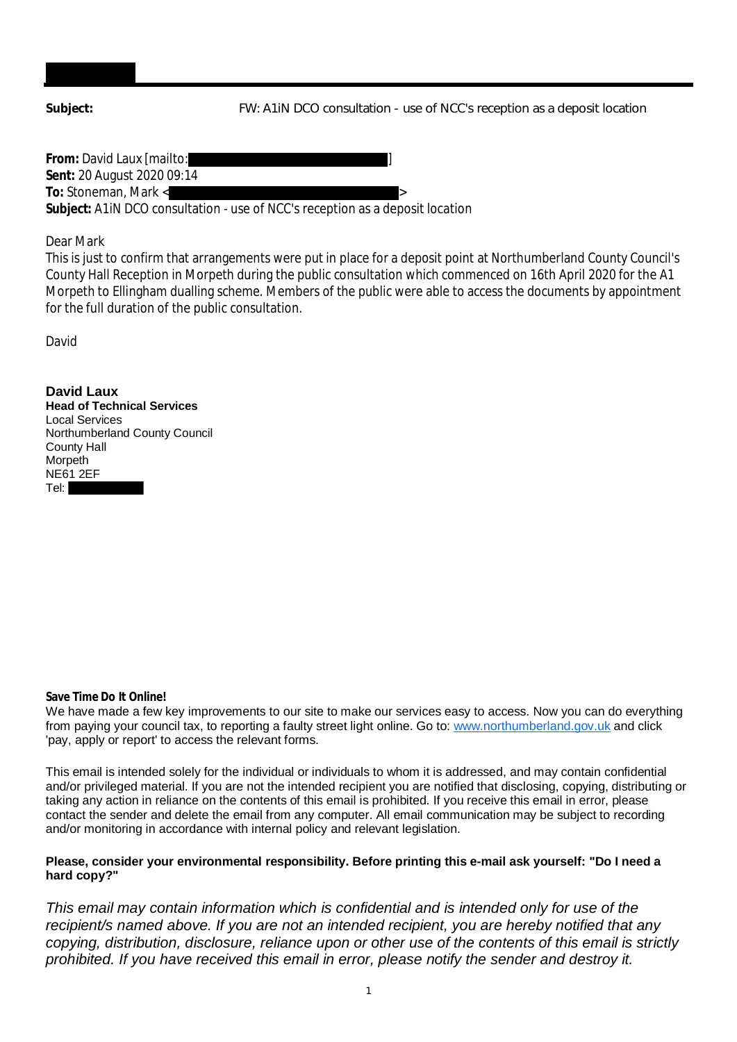**Subject:** FW: A1iN DCO consultation - use of NCC's reception as a deposit location

**From:** David Laux [mailto: ] **Sent:** 20 August 2020 09:14 **To:** Stoneman, Mark < > **Subject:** A1iN DCO consultation - use of NCC's reception as a deposit location

Dear Mark

This is just to confirm that arrangements were put in place for a deposit point at Northumberland County Council's County Hall Reception in Morpeth during the public consultation which commenced on 16th April 2020 for the A1 Morpeth to Ellingham dualling scheme. Members of the public were able to access the documents by appointment for the full duration of the public consultation.

David

**David Laux Head of Technical Services** Local Services Northumberland County Council County Hall Morpeth NE61 2EF Tel:

**Save Time Do It Online!**

We have made a few key improvements to our site to make our services easy to access. Now you can do everything from paying your council tax, to reporting a faulty street light online. Go to: www.northumberland.gov.uk and click 'pay, apply or report' to access the relevant forms.

This email is intended solely for the individual or individuals to whom it is addressed, and may contain confidential and/or privileged material. If you are not the intended recipient you are notified that disclosing, copying, distributing or taking any action in reliance on the contents of this email is prohibited. If you receive this email in error, please contact the sender and delete the email from any computer. All email communication may be subject to recording and/or monitoring in accordance with internal policy and relevant legislation.

## **Please, consider your environmental responsibility. Before printing this e-mail ask yourself: "Do I need a hard copy?"**

*This email may contain information which is confidential and is intended only for use of the recipient/s named above. If you are not an intended recipient, you are hereby notified that any copying, distribution, disclosure, reliance upon or other use of the contents of this email is strictly prohibited. If you have received this email in error, please notify the sender and destroy it.*